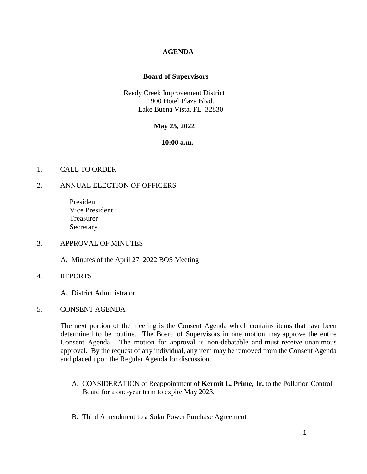## **AGENDA**

### **Board of Supervisors**

Reedy Creek Improvement District 1900 Hotel Plaza Blvd. Lake Buena Vista, FL 32830

## **May 25, 2022**

#### **10:00 a.m.**

## 1. CALL TO ORDER

### 2. ANNUAL ELECTION OF OFFICERS

 President Vice President Treasurer Secretary

### 3. APPROVAL OF MINUTES

A. Minutes of the April 27, 2022 BOS Meeting

### 4. REPORTS

A. District Administrator

### 5. CONSENT AGENDA

The next portion of the meeting is the Consent Agenda which contains items that have been determined to be routine. The Board of Supervisors in one motion may approve the entire Consent Agenda. The motion for approval is non-debatable and must receive unanimous approval. By the request of any individual, any item may be removed from the Consent Agenda and placed upon the Regular Agenda for discussion.

- A. CONSIDERATION of Reappointment of **Kermit L. Prime, Jr.** to the Pollution Control Board for a one-year term to expire May 2023.
- B. Third Amendment to a Solar Power Purchase Agreement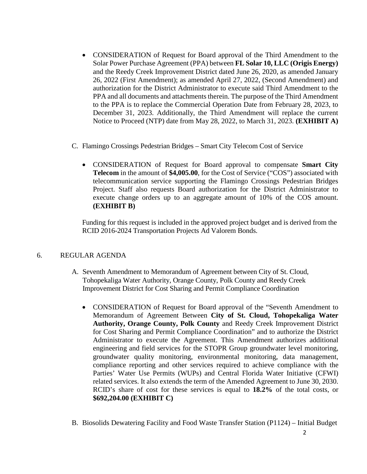- CONSIDERATION of Request for Board approval of the Third Amendment to the Solar Power Purchase Agreement (PPA) between **FL Solar 10, LLC (Origis Energy)** and the Reedy Creek Improvement District dated June 26, 2020, as amended January 26, 2022 (First Amendment); as amended April 27, 2022, (Second Amendment) and authorization for the District Administrator to execute said Third Amendment to the PPA and all documents and attachments therein. The purpose of the Third Amendment to the PPA is to replace the Commercial Operation Date from February 28, 2023, to December 31, 2023. Additionally, the Third Amendment will replace the current Notice to Proceed (NTP) date from May 28, 2022, to March 31, 2023. **(EXHIBIT A)**
- C. Flamingo Crossings Pedestrian Bridges Smart City Telecom Cost of Service
	- CONSIDERATION of Request for Board approval to compensate **Smart City Telecom** in the amount of **\$4,005.00**, for the Cost of Service ("COS") associated with telecommunication service supporting the Flamingo Crossings Pedestrian Bridges Project. Staff also requests Board authorization for the District Administrator to execute change orders up to an aggregate amount of 10% of the COS amount. **(EXHIBIT B)**

Funding for this request is included in the approved project budget and is derived from the RCID 2016-2024 Transportation Projects Ad Valorem Bonds.

# 6. REGULAR AGENDA

- A. Seventh Amendment to Memorandum of Agreement between City of St. Cloud, Tohopekaliga Water Authority, Orange County, Polk County and Reedy Creek Improvement District for Cost Sharing and Permit Compliance Coordination
	- CONSIDERATION of Request for Board approval of the "Seventh Amendment to Memorandum of Agreement Between **City of St. Cloud, Tohopekaliga Water Authority, Orange County, Polk County** and Reedy Creek Improvement District for Cost Sharing and Permit Compliance Coordination" and to authorize the District Administrator to execute the Agreement. This Amendment authorizes additional engineering and field services for the STOPR Group groundwater level monitoring, groundwater quality monitoring, environmental monitoring, data management, compliance reporting and other services required to achieve compliance with the Parties' Water Use Permits (WUPs) and Central Florida Water Initiative (CFWI) related services. It also extends the term of the Amended Agreement to June 30, 2030. RCID's share of cost for these services is equal to **18.2%** of the total costs, or **\$692,204.00 (EXHIBIT C)**
- B. Biosolids Dewatering Facility and Food Waste Transfer Station (P1124) Initial Budget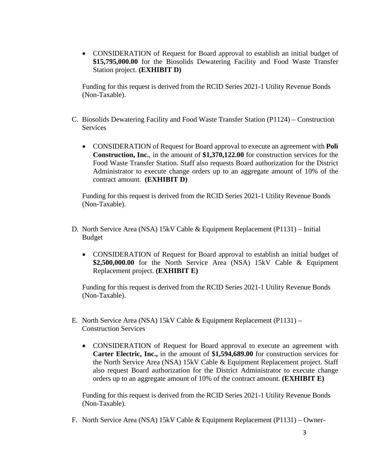• CONSIDERATION of Request for Board approval to establish an initial budget of **\$15,795,000.00** for the Biosolids Dewatering Facility and Food Waste Transfer Station project. **(EXHIBIT D)**

Funding for this request is derived from the RCID Series 2021-1 Utility Revenue Bonds (Non-Taxable).

- C. Biosolids Dewatering Facility and Food Waste Transfer Station (P1124) Construction **Services** 
	- CONSIDERATION of Request for Board approval to execute an agreement with **Poli Construction, Inc.**, in the amount of **\$1,370,122.00** for construction services for the Food Waste Transfer Station. Staff also requests Board authorization for the District Administrator to execute change orders up to an aggregate amount of 10% of the contract amount. **(EXHIBIT D)**

Funding for this request is derived from the RCID Series 2021-1 Utility Revenue Bonds (Non-Taxable).

- D. North Service Area (NSA) 15kV Cable & Equipment Replacement (P1131) Initial Budget
	- CONSIDERATION of Request for Board approval to establish an initial budget of **\$2,500,000.00** for the North Service Area (NSA) 15kV Cable & Equipment Replacement project. **(EXHIBIT E)**

Funding for this request is derived from the RCID Series 2021-1 Utility Revenue Bonds (Non-Taxable).

- E. North Service Area (NSA) 15kV Cable & Equipment Replacement (P1131) Construction Services
	- CONSIDERATION of Request for Board approval to execute an agreement with **Carter Electric, Inc.,** in the amount of **\$1,594,689.00** for construction services for the North Service Area (NSA) 15kV Cable & Equipment Replacement project. Staff also request Board authorization for the District Administrator to execute change orders up to an aggregate amount of 10% of the contract amount. **(EXHIBIT E)**

Funding for this request is derived from the RCID Series 2021-1 Utility Revenue Bonds (Non-Taxable).

F. North Service Area (NSA) 15kV Cable & Equipment Replacement (P1131) – Owner-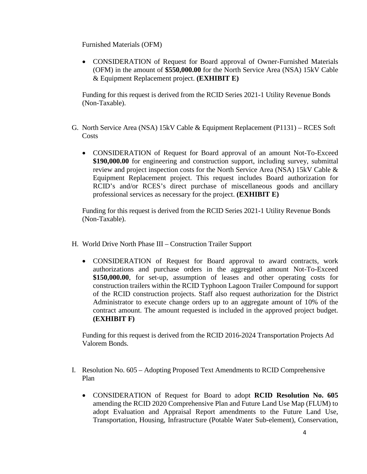Furnished Materials (OFM)

• CONSIDERATION of Request for Board approval of Owner-Furnished Materials (OFM) in the amount of **\$550,000.00** for the North Service Area (NSA) 15kV Cable & Equipment Replacement project. **(EXHIBIT E)**

Funding for this request is derived from the RCID Series 2021-1 Utility Revenue Bonds (Non-Taxable).

- G. North Service Area (NSA) 15kV Cable & Equipment Replacement (P1131) RCES Soft **Costs** 
	- CONSIDERATION of Request for Board approval of an amount Not-To-Exceed **\$190,000.00** for engineering and construction support, including survey, submittal review and project inspection costs for the North Service Area (NSA) 15kV Cable & Equipment Replacement project. This request includes Board authorization for RCID's and/or RCES's direct purchase of miscellaneous goods and ancillary professional services as necessary for the project. **(EXHIBIT E)**

Funding for this request is derived from the RCID Series 2021-1 Utility Revenue Bonds (Non-Taxable).

- H. World Drive North Phase III Construction Trailer Support
	- CONSIDERATION of Request for Board approval to award contracts, work authorizations and purchase orders in the aggregated amount Not-To-Exceed **\$150,000.00**, for set-up, assumption of leases and other operating costs for construction trailers within the RCID Typhoon Lagoon Trailer Compound for support of the RCID construction projects. Staff also request authorization for the District Administrator to execute change orders up to an aggregate amount of 10% of the contract amount. The amount requested is included in the approved project budget. **(EXHIBIT F)**

Funding for this request is derived from the RCID 2016-2024 Transportation Projects Ad Valorem Bonds.

- I. Resolution No. 605 Adopting Proposed Text Amendments to RCID Comprehensive Plan
	- CONSIDERATION of Request for Board to adopt **RCID Resolution No. 605** amending the RCID 2020 Comprehensive Plan and Future Land Use Map (FLUM) to adopt Evaluation and Appraisal Report amendments to the Future Land Use, Transportation, Housing, Infrastructure (Potable Water Sub-element), Conservation,